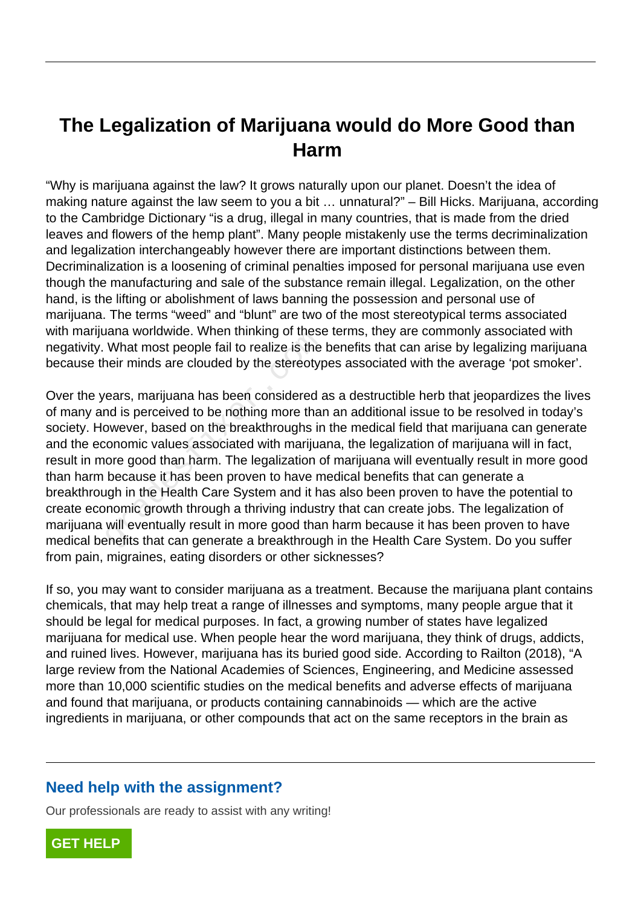# **The Legalization of Marijuana would do More Good than Harm**

"Why is marijuana against the law? It grows naturally upon our planet. Doesn't the idea of making nature against the law seem to you a bit … unnatural?" – Bill Hicks. Marijuana, according to the Cambridge Dictionary "is a drug, illegal in many countries, that is made from the dried leaves and flowers of the hemp plant". Many people mistakenly use the terms decriminalization and legalization interchangeably however there are important distinctions between them. Decriminalization is a loosening of criminal penalties imposed for personal marijuana use even though the manufacturing and sale of the substance remain illegal. Legalization, on the other hand, is the lifting or abolishment of laws banning the possession and personal use of marijuana. The terms "weed" and "blunt" are two of the most stereotypical terms associated with marijuana worldwide. When thinking of these terms, they are commonly associated with negativity. What most people fail to realize is the benefits that can arise by legalizing marijuana because their minds are clouded by the stereotypes associated with the average 'pot smoker'.

Over the years, marijuana has been considered as a destructible herb that jeopardizes the lives of many and is perceived to be nothing more than an additional issue to be resolved in today's society. However, based on the breakthroughs in the medical field that marijuana can generate and the economic values associated with marijuana, the legalization of marijuana will in fact, result in more good than harm. The legalization of marijuana will eventually result in more good than harm because it has been proven to have medical benefits that can generate a breakthrough in the Health Care System and it has also been proven to have the potential to create economic growth through a thriving industry that can create jobs. The legalization of marijuana will eventually result in more good than harm because it has been proven to have medical benefits that can generate a breakthrough in the Health Care System. Do you suffer from pain, migraines, eating disorders or other sicknesses? rana wondwide. When thinking of these<br>What most people fail to realize is the<br>neir minds are clouded by the stereotyp<br>ears, marijuana has been considered and is perceived to be nothing more than<br>owever, based on the breakt

If so, you may want to consider marijuana as a treatment. Because the marijuana plant contains chemicals, that may help treat a range of illnesses and symptoms, many people argue that it should be legal for medical purposes. In fact, a growing number of states have legalized marijuana for medical use. When people hear the word marijuana, they think of drugs, addicts, and ruined lives. However, marijuana has its buried good side. According to Railton (2018), "A large review from the National Academies of Sciences, Engineering, and Medicine assessed more than 10,000 scientific studies on the medical benefits and adverse effects of marijuana and found that marijuana, or products containing cannabinoids — which are the active ingredients in marijuana, or other compounds that act on the same receptors in the brain as

### **Need help with the assignment?**

Our professionals are ready to assist with any writing!

**[GET HELP](https://my.gradesfixer.com/order?utm_campaign=pdf_sample)**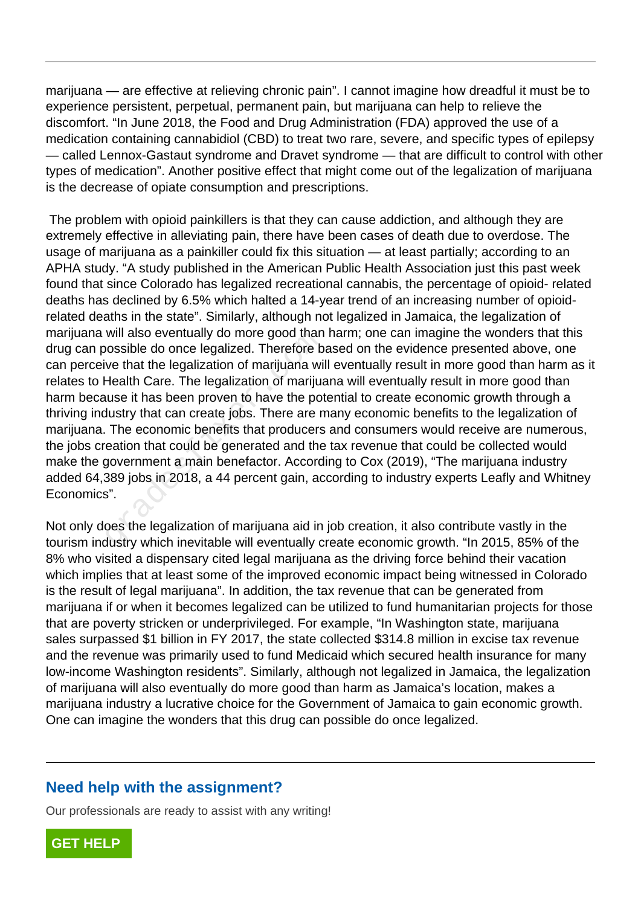marijuana — are effective at relieving chronic pain". I cannot imagine how dreadful it must be to experience persistent, perpetual, permanent pain, but marijuana can help to relieve the discomfort. "In June 2018, the Food and Drug Administration (FDA) approved the use of a medication containing cannabidiol (CBD) to treat two rare, severe, and specific types of epilepsy — called Lennox-Gastaut syndrome and Dravet syndrome — that are difficult to control with other types of medication". Another positive effect that might come out of the legalization of marijuana is the decrease of opiate consumption and prescriptions.

 The problem with opioid painkillers is that they can cause addiction, and although they are extremely effective in alleviating pain, there have been cases of death due to overdose. The usage of marijuana as a painkiller could fix this situation — at least partially; according to an APHA study. "A study published in the American Public Health Association just this past week found that since Colorado has legalized recreational cannabis, the percentage of opioid- related deaths has declined by 6.5% which halted a 14-year trend of an increasing number of opioidrelated deaths in the state". Similarly, although not legalized in Jamaica, the legalization of marijuana will also eventually do more good than harm; one can imagine the wonders that this drug can possible do once legalized. Therefore based on the evidence presented above, one can perceive that the legalization of marijuana will eventually result in more good than harm as it relates to Health Care. The legalization of marijuana will eventually result in more good than harm because it has been proven to have the potential to create economic growth through a thriving industry that can create jobs. There are many economic benefits to the legalization of marijuana. The economic benefits that producers and consumers would receive are numerous, the jobs creation that could be generated and the tax revenue that could be collected would make the government a main benefactor. According to Cox (2019), "The marijuana industry added 64,389 jobs in 2018, a 44 percent gain, according to industry experts Leafly and Whitney Economics". will also eventually do more good than<br>lossible do once legalized. Therefore b<br>ve that the legalization of marijuana wi<br>-<br>dealth Care. The legalization of marijua<br>luse it has been proven to have the pot<br>lustry that can cre

Not only does the legalization of marijuana aid in job creation, it also contribute vastly in the tourism industry which inevitable will eventually create economic growth. "In 2015, 85% of the 8% who visited a dispensary cited legal marijuana as the driving force behind their vacation which implies that at least some of the improved economic impact being witnessed in Colorado is the result of legal marijuana". In addition, the tax revenue that can be generated from marijuana if or when it becomes legalized can be utilized to fund humanitarian projects for those that are poverty stricken or underprivileged. For example, "In Washington state, marijuana sales surpassed \$1 billion in FY 2017, the state collected \$314.8 million in excise tax revenue and the revenue was primarily used to fund Medicaid which secured health insurance for many low-income Washington residents". Similarly, although not legalized in Jamaica, the legalization of marijuana will also eventually do more good than harm as Jamaica's location, makes a marijuana industry a lucrative choice for the Government of Jamaica to gain economic growth. One can imagine the wonders that this drug can possible do once legalized.

### **Need help with the assignment?**

Our professionals are ready to assist with any writing!

**[GET HELP](https://my.gradesfixer.com/order?utm_campaign=pdf_sample)**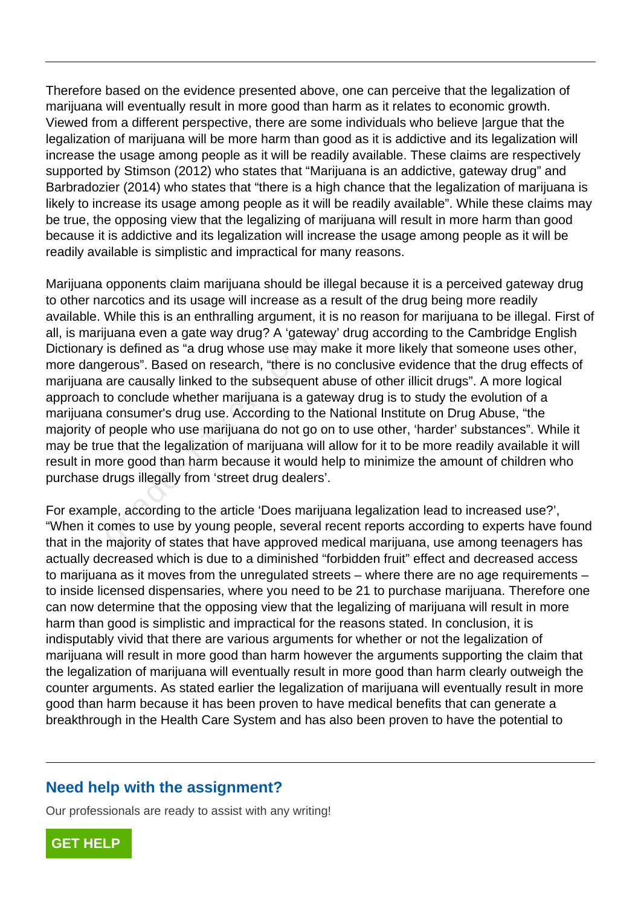Therefore based on the evidence presented above, one can perceive that the legalization of marijuana will eventually result in more good than harm as it relates to economic growth. Viewed from a different perspective, there are some individuals who believe |argue that the legalization of marijuana will be more harm than good as it is addictive and its legalization will increase the usage among people as it will be readily available. These claims are respectively supported by Stimson (2012) who states that "Marijuana is an addictive, gateway drug" and Barbradozier (2014) who states that "there is a high chance that the legalization of marijuana is likely to increase its usage among people as it will be readily available". While these claims may be true, the opposing view that the legalizing of marijuana will result in more harm than good because it is addictive and its legalization will increase the usage among people as it will be readily available is simplistic and impractical for many reasons.

Marijuana opponents claim marijuana should be illegal because it is a perceived gateway drug to other narcotics and its usage will increase as a result of the drug being more readily available. While this is an enthralling argument, it is no reason for marijuana to be illegal. First of all, is marijuana even a gate way drug? A 'gateway' drug according to the Cambridge English Dictionary is defined as "a drug whose use may make it more likely that someone uses other, more dangerous". Based on research, "there is no conclusive evidence that the drug effects of marijuana are causally linked to the subsequent abuse of other illicit drugs". A more logical approach to conclude whether marijuana is a gateway drug is to study the evolution of a marijuana consumer's drug use. According to the National Institute on Drug Abuse, "the majority of people who use marijuana do not go on to use other, 'harder' substances". While it may be true that the legalization of marijuana will allow for it to be more readily available it will result in more good than harm because it would help to minimize the amount of children who purchase drugs illegally from 'street drug dealers'. diana even a gate way drug? A gatewa<br>is defined as "a drug whose use may r<br>gerous". Based on research, "there is n<br>are causally linked to the subsequent a<br>to conclude whether marijuana is a gat<br>consumer's drug use. Accordi

For example, according to the article 'Does marijuana legalization lead to increased use?', "When it comes to use by young people, several recent reports according to experts have found that in the majority of states that have approved medical marijuana, use among teenagers has actually decreased which is due to a diminished "forbidden fruit" effect and decreased access to marijuana as it moves from the unregulated streets – where there are no age requirements – to inside licensed dispensaries, where you need to be 21 to purchase marijuana. Therefore one can now determine that the opposing view that the legalizing of marijuana will result in more harm than good is simplistic and impractical for the reasons stated. In conclusion, it is indisputably vivid that there are various arguments for whether or not the legalization of marijuana will result in more good than harm however the arguments supporting the claim that the legalization of marijuana will eventually result in more good than harm clearly outweigh the counter arguments. As stated earlier the legalization of marijuana will eventually result in more good than harm because it has been proven to have medical benefits that can generate a breakthrough in the Health Care System and has also been proven to have the potential to

#### **Need help with the assignment?**

Our professionals are ready to assist with any writing!

**[GET HELP](https://my.gradesfixer.com/order?utm_campaign=pdf_sample)**